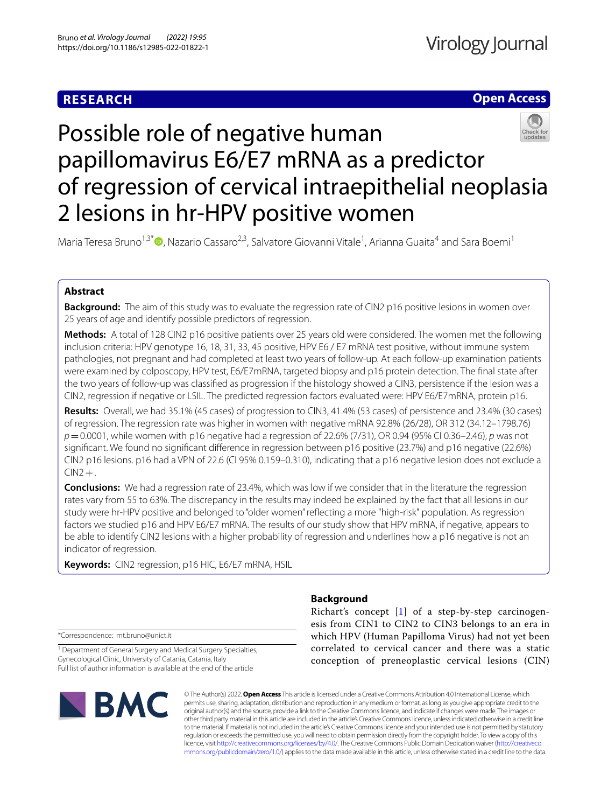# **RESEARCH**

# **Open Access**



# Possible role of negative human papillomavirus E6/E7 mRNA as a predictor of regression of cervical intraepithelial neoplasia 2 lesions in hr-HPV positive women

Maria Teresa Bruno<sup>1,3[\\*](https://orcid.org/0000-0003-1557-1538)</sup>®, Nazario Cassaro<sup>2,3</sup>, Salvatore Giovanni Vitale<sup>1</sup>, Arianna Guaita<sup>4</sup> and Sara Boemi<sup>1</sup>

# **Abstract**

**Background:** The aim of this study was to evaluate the regression rate of CIN2 p16 positive lesions in women over 25 years of age and identify possible predictors of regression.

**Methods:** A total of 128 CIN2 p16 positive patients over 25 years old were considered. The women met the following inclusion criteria: HPV genotype 16, 18, 31, 33, 45 positive, HPV E6 / E7 mRNA test positive, without immune system pathologies, not pregnant and had completed at least two years of follow-up. At each follow-up examination patients were examined by colposcopy, HPV test, E6/E7mRNA, targeted biopsy and p16 protein detection. The fnal state after the two years of follow-up was classifed as progression if the histology showed a CIN3, persistence if the lesion was a CIN2, regression if negative or LSIL. The predicted regression factors evaluated were: HPV E6/E7mRNA, protein p16.

**Results:** Overall, we had 35.1% (45 cases) of progression to CIN3, 41.4% (53 cases) of persistence and 23.4% (30 cases) of regression. The regression rate was higher in women with negative mRNA 92.8% (26/28), OR 312 (34.12–1798.76) *p*=0.0001, while women with p16 negative had a regression of 22.6% (7/31), OR 0.94 (95% CI 0.36–2.46), *p* was not signifcant. We found no signifcant diference in regression between p16 positive (23.7%) and p16 negative (22.6%) CIN2 p16 lesions. p16 had a VPN of 22.6 (CI 95% 0.159–0.310), indicating that a p16 negative lesion does not exclude a  $CIN2 + .$ 

**Conclusions:** We had a regression rate of 23.4%, which was low if we consider that in the literature the regression rates vary from 55 to 63%. The discrepancy in the results may indeed be explained by the fact that all lesions in our study were hr-HPV positive and belonged to "older women" refecting a more "high-risk" population. As regression factors we studied p16 and HPV E6/E7 mRNA. The results of our study show that HPV mRNA, if negative, appears to be able to identify CIN2 lesions with a higher probability of regression and underlines how a p16 negative is not an indicator of regression.

**Keywords:** CIN2 regression, p16 HIC, E6/E7 mRNA, HSIL

\*Correspondence: mt.bruno@unict.it

<sup>1</sup> Department of General Surgery and Medical Surgery Specialties, Gynecological Clinic, University of Catania, Catania, Italy Full list of author information is available at the end of the article



# **Background**

Richart's concept [\[1\]](#page-8-0) of a step-by-step carcinogenesis from CIN1 to CIN2 to CIN3 belongs to an era in which HPV (Human Papilloma Virus) had not yet been correlated to cervical cancer and there was a static conception of preneoplastic cervical lesions (CIN)

© The Author(s) 2022. **Open Access** This article is licensed under a Creative Commons Attribution 4.0 International License, which permits use, sharing, adaptation, distribution and reproduction in any medium or format, as long as you give appropriate credit to the original author(s) and the source, provide a link to the Creative Commons licence, and indicate if changes were made. The images or other third party material in this article are included in the article's Creative Commons licence, unless indicated otherwise in a credit line to the material. If material is not included in the article's Creative Commons licence and your intended use is not permitted by statutory regulation or exceeds the permitted use, you will need to obtain permission directly from the copyright holder. To view a copy of this licence, visit [http://creativecommons.org/licenses/by/4.0/.](http://creativecommons.org/licenses/by/4.0/) The Creative Commons Public Domain Dedication waiver ([http://creativeco](http://creativecommons.org/publicdomain/zero/1.0/) [mmons.org/publicdomain/zero/1.0/](http://creativecommons.org/publicdomain/zero/1.0/)) applies to the data made available in this article, unless otherwise stated in a credit line to the data.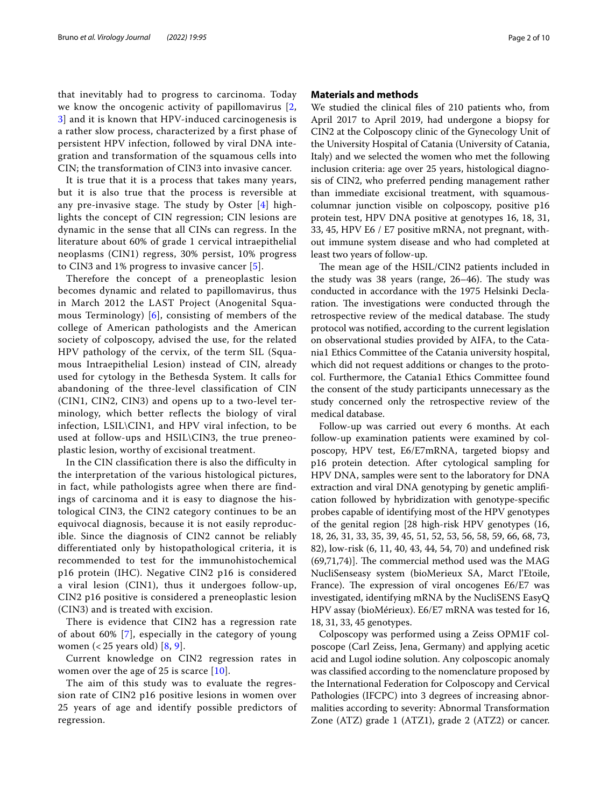that inevitably had to progress to carcinoma. Today we know the oncogenic activity of papillomavirus [\[2](#page-8-1), [3\]](#page-8-2) and it is known that HPV-induced carcinogenesis is a rather slow process, characterized by a first phase of persistent HPV infection, followed by viral DNA integration and transformation of the squamous cells into CIN; the transformation of CIN3 into invasive cancer.

It is true that it is a process that takes many years, but it is also true that the process is reversible at any pre-invasive stage. The study by Oster [[4](#page-8-3)] highlights the concept of CIN regression; CIN lesions are dynamic in the sense that all CINs can regress. In the literature about 60% of grade 1 cervical intraepithelial neoplasms (CIN1) regress, 30% persist, 10% progress to CIN3 and 1% progress to invasive cancer [[5\]](#page-8-4).

Therefore the concept of a preneoplastic lesion becomes dynamic and related to papillomavirus, thus in March 2012 the LAST Project (Anogenital Squamous Terminology) [[6\]](#page-8-5), consisting of members of the college of American pathologists and the American society of colposcopy, advised the use, for the related HPV pathology of the cervix, of the term SIL (Squamous Intraepithelial Lesion) instead of CIN, already used for cytology in the Bethesda System. It calls for abandoning of the three-level classification of CIN (CIN1, CIN2, CIN3) and opens up to a two-level terminology, which better reflects the biology of viral infection, LSIL\CIN1, and HPV viral infection, to be used at follow-ups and HSIL\CIN3, the true preneoplastic lesion, worthy of excisional treatment.

In the CIN classification there is also the difficulty in the interpretation of the various histological pictures, in fact, while pathologists agree when there are findings of carcinoma and it is easy to diagnose the histological CIN3, the CIN2 category continues to be an equivocal diagnosis, because it is not easily reproducible. Since the diagnosis of CIN2 cannot be reliably differentiated only by histopathological criteria, it is recommended to test for the immunohistochemical p16 protein (IHC). Negative CIN2 p16 is considered a viral lesion (CIN1), thus it undergoes follow-up, CIN2 p16 positive is considered a preneoplastic lesion (CIN3) and is treated with excision.

There is evidence that CIN2 has a regression rate of about 60% [[7\]](#page-8-6), especially in the category of young women (< 25 years old) [[8,](#page-8-7) [9](#page-8-8)].

Current knowledge on CIN2 regression rates in women over the age of 25 is scarce [[10](#page-8-9)].

The aim of this study was to evaluate the regression rate of CIN2 p16 positive lesions in women over 25 years of age and identify possible predictors of regression.

## **Materials and methods**

We studied the clinical fles of 210 patients who, from April 2017 to April 2019, had undergone a biopsy for CIN2 at the Colposcopy clinic of the Gynecology Unit of the University Hospital of Catania (University of Catania, Italy) and we selected the women who met the following inclusion criteria: age over 25 years, histological diagnosis of CIN2, who preferred pending management rather than immediate excisional treatment, with squamouscolumnar junction visible on colposcopy, positive p16 protein test, HPV DNA positive at genotypes 16, 18, 31, 33, 45, HPV E6 / E7 positive mRNA, not pregnant, without immune system disease and who had completed at least two years of follow-up.

The mean age of the HSIL/CIN2 patients included in the study was 38 years (range,  $26-46$ ). The study was conducted in accordance with the 1975 Helsinki Declaration. The investigations were conducted through the retrospective review of the medical database. The study protocol was notifed, according to the current legislation on observational studies provided by AIFA, to the Catania1 Ethics Committee of the Catania university hospital, which did not request additions or changes to the protocol. Furthermore, the Catania1 Ethics Committee found the consent of the study participants unnecessary as the study concerned only the retrospective review of the medical database.

Follow-up was carried out every 6 months. At each follow-up examination patients were examined by colposcopy, HPV test, E6/E7mRNA, targeted biopsy and p16 protein detection. After cytological sampling for HPV DNA, samples were sent to the laboratory for DNA extraction and viral DNA genotyping by genetic amplifcation followed by hybridization with genotype-specifc probes capable of identifying most of the HPV genotypes of the genital region [28 high-risk HPV genotypes (16, 18, 26, 31, 33, 35, 39, 45, 51, 52, 53, 56, 58, 59, 66, 68, 73, 82), low-risk (6, 11, 40, 43, 44, 54, 70) and undefned risk  $(69,71,74)$ ]. The commercial method used was the MAG NucliSenseasy system (bioMerieux SA, Marct l'Etoile, France). The expression of viral oncogenes E6/E7 was investigated, identifying mRNA by the NucliSENS EasyQ HPV assay (bioMérieux). E6/E7 mRNA was tested for 16, 18, 31, 33, 45 genotypes.

Colposcopy was performed using a Zeiss OPM1F colposcope (Carl Zeiss, Jena, Germany) and applying acetic acid and Lugol iodine solution. Any colposcopic anomaly was classifed according to the nomenclature proposed by the International Federation for Colposcopy and Cervical Pathologies (IFCPC) into 3 degrees of increasing abnormalities according to severity: Abnormal Transformation Zone (ATZ) grade 1 (ATZ1), grade 2 (ATZ2) or cancer.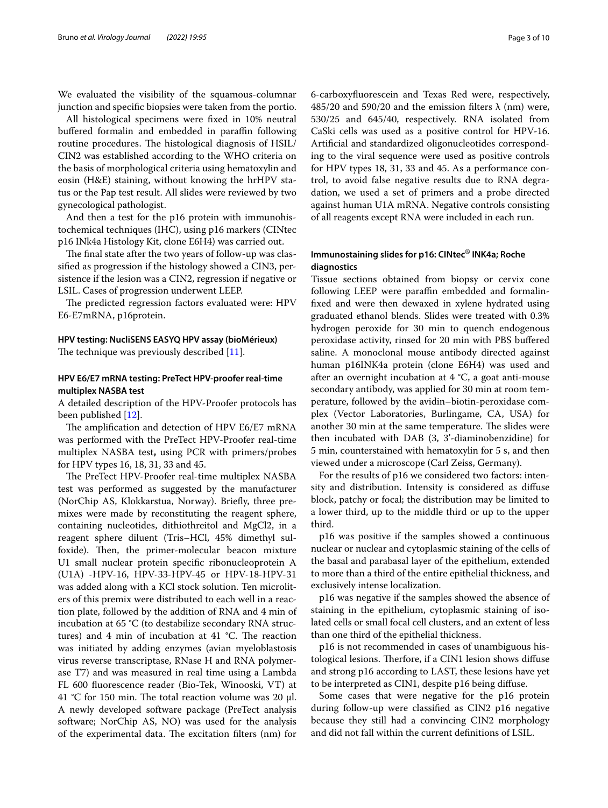We evaluated the visibility of the squamous-columnar junction and specifc biopsies were taken from the portio.

All histological specimens were fxed in 10% neutral buffered formalin and embedded in paraffin following routine procedures. The histological diagnosis of HSIL/ CIN2 was established according to the WHO criteria on the basis of morphological criteria using hematoxylin and eosin (H&E) staining, without knowing the hrHPV status or the Pap test result. All slides were reviewed by two gynecological pathologist.

And then a test for the p16 protein with immunohistochemical techniques (IHC), using p16 markers (CINtec p16 INk4a Histology Kit, clone E6H4) was carried out.

The final state after the two years of follow-up was classifed as progression if the histology showed a CIN3, persistence if the lesion was a CIN2, regression if negative or LSIL. Cases of progression underwent LEEP.

The predicted regression factors evaluated were: HPV E6-E7mRNA, p16protein.

# **HPV testing: NucliSENS EASYQ HPV assay (bioMérieux)**

The technique was previously described  $[11]$  $[11]$ .

# **HPV E6/E7 mRNA testing: PreTect HPV‑proofer real‑time multiplex NASBA test**

A detailed description of the HPV-Proofer protocols has been published [\[12](#page-8-11)].

The amplification and detection of HPV E6/E7 mRNA was performed with the PreTect HPV-Proofer real-time multiplex NASBA test**,** using PCR with primers/probes for HPV types 16, 18, 31, 33 and 45.

The PreTect HPV-Proofer real-time multiplex NASBA test was performed as suggested by the manufacturer (NorChip AS, Klokkarstua, Norway). Briefy, three premixes were made by reconstituting the reagent sphere, containing nucleotides, dithiothreitol and MgCl2, in a reagent sphere diluent (Tris–HCl, 45% dimethyl sulfoxide). Then, the primer-molecular beacon mixture U1 small nuclear protein specifc ribonucleoprotein A (U1A) -HPV-16, HPV-33-HPV-45 or HPV-18-HPV-31 was added along with a KCl stock solution. Ten microliters of this premix were distributed to each well in a reaction plate, followed by the addition of RNA and 4 min of incubation at 65 °C (to destabilize secondary RNA structures) and 4 min of incubation at 41  $^{\circ}$ C. The reaction was initiated by adding enzymes (avian myeloblastosis virus reverse transcriptase, RNase H and RNA polymerase T7) and was measured in real time using a Lambda FL 600 fuorescence reader (Bio-Tek, Winooski, VT) at 41 °C for 150 min. The total reaction volume was 20 μl. A newly developed software package (PreTect analysis software; NorChip AS, NO) was used for the analysis of the experimental data. The excitation filters (nm) for 6-carboxyfuorescein and Texas Red were, respectively, 485/20 and 590/20 and the emission filters  $\lambda$  (nm) were, 530/25 and 645/40, respectively. RNA isolated from CaSki cells was used as a positive control for HPV-16. Artifcial and standardized oligonucleotides corresponding to the viral sequence were used as positive controls for HPV types 18, 31, 33 and 45. As a performance control, to avoid false negative results due to RNA degradation, we used a set of primers and a probe directed against human U1A mRNA. Negative controls consisting of all reagents except RNA were included in each run.

# **Immunostaining slides for p16: CINtec**® **INK4a; Roche diagnostics**

Tissue sections obtained from biopsy or cervix cone following LEEP were paraffin embedded and formalinfxed and were then dewaxed in xylene hydrated using graduated ethanol blends. Slides were treated with 0.3% hydrogen peroxide for 30 min to quench endogenous peroxidase activity, rinsed for 20 min with PBS bufered saline. A monoclonal mouse antibody directed against human p16INK4a protein (clone E6H4) was used and after an overnight incubation at 4 °C, a goat anti-mouse secondary antibody, was applied for 30 min at room temperature, followed by the avidin–biotin-peroxidase complex (Vector Laboratories, Burlingame, CA, USA) for another 30 min at the same temperature. The slides were then incubated with DAB (3, 3'-diaminobenzidine) for 5 min, counterstained with hematoxylin for 5 s, and then viewed under a microscope (Carl Zeiss, Germany).

For the results of p16 we considered two factors: intensity and distribution. Intensity is considered as difuse block, patchy or focal; the distribution may be limited to a lower third, up to the middle third or up to the upper third.

p16 was positive if the samples showed a continuous nuclear or nuclear and cytoplasmic staining of the cells of the basal and parabasal layer of the epithelium, extended to more than a third of the entire epithelial thickness, and exclusively intense localization.

p16 was negative if the samples showed the absence of staining in the epithelium, cytoplasmic staining of isolated cells or small focal cell clusters, and an extent of less than one third of the epithelial thickness.

p16 is not recommended in cases of unambiguous histological lesions. Therfore, if a CIN1 lesion shows diffuse and strong p16 according to LAST, these lesions have yet to be interpreted as CIN1, despite p16 being difuse.

Some cases that were negative for the p16 protein during follow-up were classifed as CIN2 p16 negative because they still had a convincing CIN2 morphology and did not fall within the current defnitions of LSIL.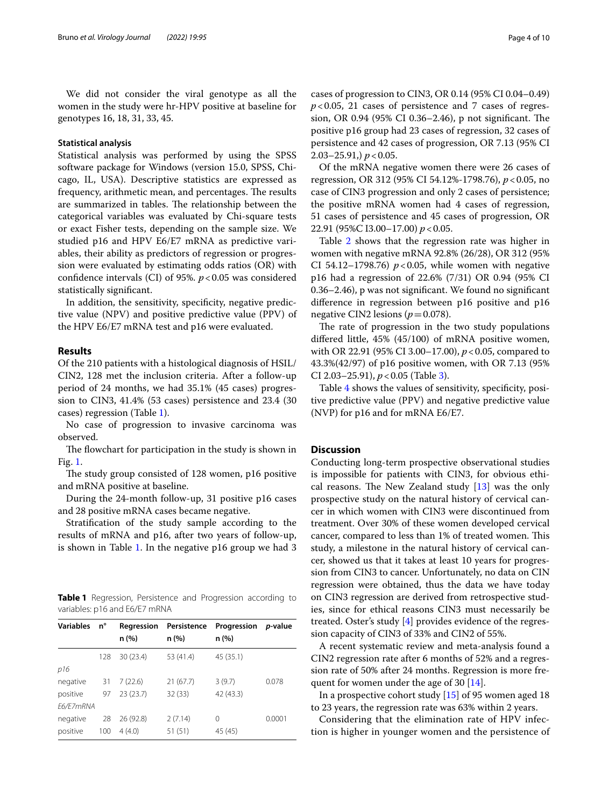We did not consider the viral genotype as all the women in the study were hr-HPV positive at baseline for genotypes 16, 18, 31, 33, 45.

## **Statistical analysis**

Statistical analysis was performed by using the SPSS software package for Windows (version 15.0, SPSS, Chicago, IL, USA). Descriptive statistics are expressed as frequency, arithmetic mean, and percentages. The results are summarized in tables. The relationship between the categorical variables was evaluated by Chi-square tests or exact Fisher tests, depending on the sample size. We studied p16 and HPV E6/E7 mRNA as predictive variables, their ability as predictors of regression or progression were evaluated by estimating odds ratios (OR) with confidence intervals (CI) of 95%.  $p$  < 0.05 was considered statistically signifcant.

In addition, the sensitivity, specificity, negative predictive value (NPV) and positive predictive value (PPV) of the HPV E6/E7 mRNA test and p16 were evaluated.

## **Results**

Of the 210 patients with a histological diagnosis of HSIL/ CIN2, 128 met the inclusion criteria. After a follow-up period of 24 months, we had 35.1% (45 cases) progression to CIN3, 41.4% (53 cases) persistence and 23.4 (30 cases) regression (Table [1\)](#page-3-0).

No case of progression to invasive carcinoma was observed.

The flowchart for participation in the study is shown in Fig. [1.](#page-4-0)

The study group consisted of 128 women, p16 positive and mRNA positive at baseline.

During the 24-month follow-up, 31 positive p16 cases and 28 positive mRNA cases became negative.

Stratifcation of the study sample according to the results of mRNA and p16, after two years of follow-up, is shown in Table [1](#page-3-0). In the negative p16 group we had 3

<span id="page-3-0"></span>**Table 1** Regression, Persistence and Progression according to variables: p16 and E6/E7 mRNA

| <b>Variables</b> | n°  | Regression | Persistence | Progression | <i>p</i> -value |
|------------------|-----|------------|-------------|-------------|-----------------|
|                  |     | n (%)      | n (%)       | n (%)       |                 |
|                  | 128 | 30(23.4)   | 53 (41.4)   | 45 (35.1)   |                 |
| p16              |     |            |             |             |                 |
| negative         | 31  | 7(22.6)    | 21(67.7)    | 3(9.7)      | 0.078           |
| positive         | 97  | 23(23.7)   | 32(33)      | 42 (43.3)   |                 |
| E6/E7mRNA        |     |            |             |             |                 |
| negative         | 28  | 26 (92.8)  | 2(7.14)     | 0           | 0.0001          |
| positive         | 100 | 4(4.0)     | 51(51)      | 45 (45)     |                 |

cases of progression to CIN3, OR 0.14 (95% CI 0.04–0.49)  $p$ <0.05, 21 cases of persistence and 7 cases of regression, OR 0.94 (95% CI 0.36–2.46), p not significant. The positive p16 group had 23 cases of regression, 32 cases of persistence and 42 cases of progression, OR 7.13 (95% CI 2.03–25.91,) *p*<0.05.

Of the mRNA negative women there were 26 cases of regression, OR 312 (95% CI 54.12%-1798.76), *p*<0.05, no case of CIN3 progression and only 2 cases of persistence; the positive mRNA women had 4 cases of regression, 51 cases of persistence and 45 cases of progression, OR 22.91 (95%C I3.00–17.00) *p*<0.05.

Table [2](#page-5-0) shows that the regression rate was higher in women with negative mRNA 92.8% (26/28), OR 312 (95% CI 54.12–1798.76)  $p < 0.05$ , while women with negative p16 had a regression of 22.6% (7/31) OR 0.94 (95% CI 0.36–2.46), p was not signifcant. We found no signifcant diference in regression between p16 positive and p16 negative CIN2 lesions ( $p=0.078$ ).

The rate of progression in the two study populations difered little, 45% (45/100) of mRNA positive women, with OR 22.91 (95% CI 3.00–17.00), *p*<0.05, compared to 43.3%(42/97) of p16 positive women, with OR 7.13 (95% CI 2.03–25.91), *p*<0.05 (Table [3\)](#page-5-1).

Table [4](#page-5-2) shows the values of sensitivity, specifcity, positive predictive value (PPV) and negative predictive value (NVP) for p16 and for mRNA E6/E7.

# **Discussion**

Conducting long-term prospective observational studies is impossible for patients with CIN3, for obvious ethical reasons. The New Zealand study  $[13]$  $[13]$  was the only prospective study on the natural history of cervical cancer in which women with CIN3 were discontinued from treatment. Over 30% of these women developed cervical cancer, compared to less than 1% of treated women. This study, a milestone in the natural history of cervical cancer, showed us that it takes at least 10 years for progression from CIN3 to cancer. Unfortunately, no data on CIN regression were obtained, thus the data we have today on CIN3 regression are derived from retrospective studies, since for ethical reasons CIN3 must necessarily be treated. Oster's study [\[4\]](#page-8-3) provides evidence of the regression capacity of CIN3 of 33% and CIN2 of 55%.

A recent systematic review and meta-analysis found a CIN2 regression rate after 6 months of 52% and a regression rate of 50% after 24 months. Regression is more frequent for women under the age of 30 [[14\]](#page-8-13).

In a prospective cohort study [\[15\]](#page-8-14) of 95 women aged 18 to 23 years, the regression rate was 63% within 2 years.

Considering that the elimination rate of HPV infection is higher in younger women and the persistence of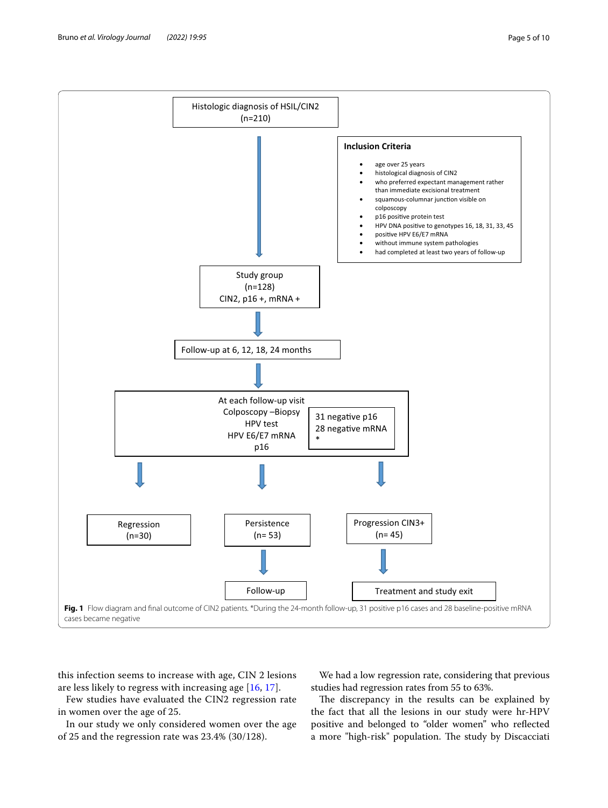

<span id="page-4-0"></span>this infection seems to increase with age, CIN 2 lesions are less likely to regress with increasing age [[16,](#page-8-15) [17\]](#page-8-16).

Few studies have evaluated the CIN2 regression rate in women over the age of 25.

In our study we only considered women over the age of 25 and the regression rate was 23.4% (30/128).

We had a low regression rate, considering that previous studies had regression rates from 55 to 63%.

The discrepancy in the results can be explained by the fact that all the lesions in our study were hr-HPV positive and belonged to "older women" who refected a more "high-risk" population. The study by Discacciati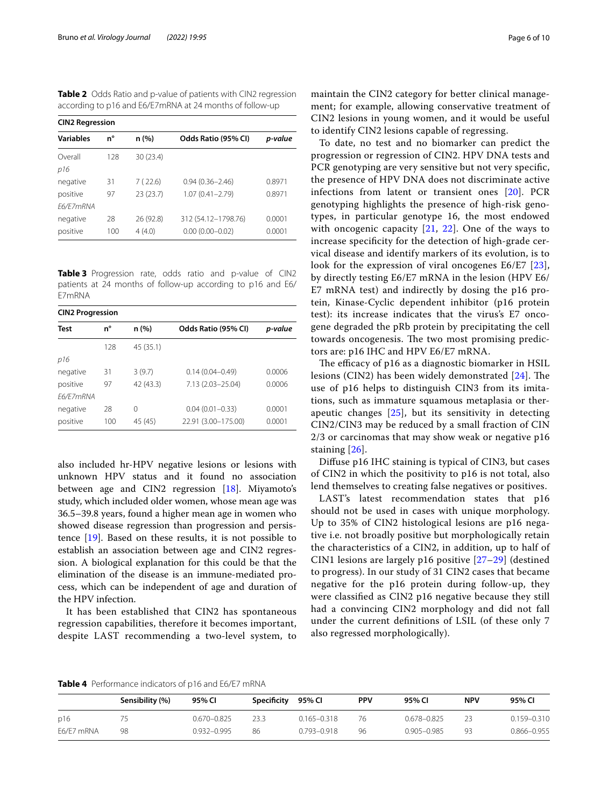<span id="page-5-0"></span>**Table 2** Odds Ratio and p-value of patients with CIN2 regression according to p16 and E6/E7mRNA at 24 months of follow-up

| <b>CIN2 Regression</b>                                               |           |                     |                                            |                  |  |  |
|----------------------------------------------------------------------|-----------|---------------------|--------------------------------------------|------------------|--|--|
| <b>Variables</b>                                                     | n°        | n (%)               | Odds Ratio (95% CI)                        | p-value          |  |  |
| Overall<br>p16                                                       | 128       | 30 (23.4)           |                                            |                  |  |  |
| 7(22.6)<br>31<br>negative<br>23(23.7)<br>positive<br>97<br>F6/F7mRNA |           |                     | $0.94(0.36 - 2.46)$<br>$1.07(0.41 - 2.79)$ | 0.8971<br>0.8971 |  |  |
| negative<br>positive                                                 | 28<br>100 | 26 (92.8)<br>4(4.0) | 312 (54.12-1798.76)<br>$0.00(0.00 - 0.02)$ | 0.0001<br>0.0001 |  |  |

<span id="page-5-1"></span>**Table 3** Progression rate, odds ratio and p-value of CIN2 patients at 24 months of follow-up according to p16 and E6/ E7mRNA

| <b>CIN2 Progression</b> |             |           |                     |         |  |  |
|-------------------------|-------------|-----------|---------------------|---------|--|--|
| Test                    | n°<br>n (%) |           | Odds Ratio (95% CI) | p-value |  |  |
|                         | 128         | 45 (35.1) |                     |         |  |  |
| p16                     |             |           |                     |         |  |  |
| negative                | 31          | 3(9.7)    | $0.14(0.04 - 0.49)$ | 0.0006  |  |  |
| positive                | 97          | 42 (43.3) | 7.13 (2.03-25.04)   | 0.0006  |  |  |
| F6/F7mRNA               |             |           |                     |         |  |  |
| negative                | 28          | 0         | $0.04(0.01 - 0.33)$ | 0.0001  |  |  |
| positive                | 100         | 45 (45)   | 22.91 (3.00-175.00) | 0.0001  |  |  |

also included hr-HPV negative lesions or lesions with unknown HPV status and it found no association between age and CIN2 regression [\[18\]](#page-8-17). Miyamoto's study, which included older women, whose mean age was 36.5–39.8 years, found a higher mean age in women who showed disease regression than progression and persistence [[19\]](#page-8-18). Based on these results, it is not possible to establish an association between age and CIN2 regression. A biological explanation for this could be that the elimination of the disease is an immune-mediated process, which can be independent of age and duration of the HPV infection.

It has been established that CIN2 has spontaneous regression capabilities, therefore it becomes important, despite LAST recommending a two-level system, to maintain the CIN2 category for better clinical management; for example, allowing conservative treatment of CIN2 lesions in young women, and it would be useful to identify CIN2 lesions capable of regressing.

To date, no test and no biomarker can predict the progression or regression of CIN2. HPV DNA tests and PCR genotyping are very sensitive but not very specific, the presence of HPV DNA does not discriminate active infections from latent or transient ones [[20\]](#page-8-19). PCR genotyping highlights the presence of high-risk genotypes, in particular genotype 16, the most endowed with oncogenic capacity  $[21, 22]$  $[21, 22]$  $[21, 22]$  $[21, 22]$ . One of the ways to increase specifcity for the detection of high-grade cervical disease and identify markers of its evolution, is to look for the expression of viral oncogenes E6/E7 [[23](#page-8-22)], by directly testing E6/E7 mRNA in the lesion (HPV E6/ E7 mRNA test) and indirectly by dosing the p16 protein, Kinase-Cyclic dependent inhibitor (p16 protein test): its increase indicates that the virus's E7 oncogene degraded the pRb protein by precipitating the cell towards oncogenesis. The two most promising predictors are: p16 IHC and HPV E6/E7 mRNA.

The efficacy of p16 as a diagnostic biomarker in HSIL lesions (CIN2) has been widely demonstrated  $[24]$  $[24]$ . The use of p16 helps to distinguish CIN3 from its imitations, such as immature squamous metaplasia or therapeutic changes [[25\]](#page-8-24), but its sensitivity in detecting CIN2/CIN3 may be reduced by a small fraction of CIN 2/3 or carcinomas that may show weak or negative p16 staining [[26](#page-8-25)].

Difuse p16 IHC staining is typical of CIN3, but cases of CIN2 in which the positivity to p16 is not total, also lend themselves to creating false negatives or positives.

LAST's latest recommendation states that p16 should not be used in cases with unique morphology. Up to 35% of CIN2 histological lesions are p16 negative i.e. not broadly positive but morphologically retain the characteristics of a CIN2, in addition, up to half of CIN1 lesions are largely p16 positive [[27](#page-8-26)[–29](#page-8-27)] (destined to progress). In our study of 31 CIN2 cases that became negative for the p16 protein during follow-up, they were classifed as CIN2 p16 negative because they still had a convincing CIN2 morphology and did not fall under the current defnitions of LSIL (of these only 7 also regressed morphologically).

<span id="page-5-2"></span>**Table 4** Performance indicators of p16 and E6/E7 mRNA

|            | Sensibility (%) | 95% CI      | Specificity | 95% CI          | <b>PPV</b> | 95% CI          | <b>NPV</b> | 95% CI          |
|------------|-----------------|-------------|-------------|-----------------|------------|-----------------|------------|-----------------|
| p16        |                 | 0.670-0.825 | 233         | $0.165 - 0.318$ | 76         | $0.678 - 0.825$ |            | $0.159 - 0.310$ |
| E6/E7 mRNA | 98              | 0.932-0.995 | 86          | $0.793 - 0.918$ | 96         | $0.905 - 0.985$ | 93         | $0.866 - 0.955$ |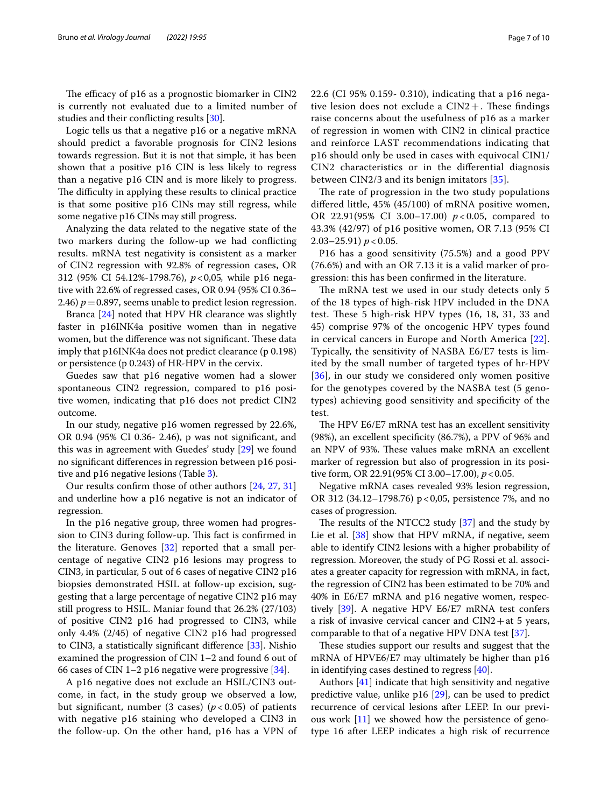The efficacy of p16 as a prognostic biomarker in CIN2 is currently not evaluated due to a limited number of studies and their conficting results [\[30](#page-8-28)].

Logic tells us that a negative p16 or a negative mRNA should predict a favorable prognosis for CIN2 lesions towards regression. But it is not that simple, it has been shown that a positive p16 CIN is less likely to regress than a negative p16 CIN and is more likely to progress. The difficulty in applying these results to clinical practice is that some positive p16 CINs may still regress, while some negative p16 CINs may still progress.

Analyzing the data related to the negative state of the two markers during the follow-up we had conficting results. mRNA test negativity is consistent as a marker of CIN2 regression with 92.8% of regression cases, OR 312 (95% CI 54.12%-1798.76), *p*<0,05*,* while p16 negative with 22.6% of regressed cases, OR 0.94 (95% CI 0.36– 2.46)  $p = 0.897$ , seems unable to predict lesion regression.

Branca [\[24](#page-8-23)] noted that HPV HR clearance was slightly faster in p16INK4a positive women than in negative women, but the difference was not significant. These data imply that p16INK4a does not predict clearance (p 0.198) or persistence (p 0.243) of HR-HPV in the cervix.

Guedes saw that p16 negative women had a slower spontaneous CIN2 regression, compared to p16 positive women, indicating that p16 does not predict CIN2 outcome.

In our study, negative p16 women regressed by 22.6%, OR 0.94 (95% CI 0.36- 2.46), p was not signifcant, and this was in agreement with Guedes' study [\[29\]](#page-8-27) we found no signifcant diferences in regression between p16 positive and p16 negative lesions (Table [3](#page-5-1)).

Our results confrm those of other authors [[24](#page-8-23), [27](#page-8-26), [31](#page-8-29)] and underline how a p16 negative is not an indicator of regression.

In the p16 negative group, three women had progression to CIN3 during follow-up. This fact is confirmed in the literature. Genoves [\[32\]](#page-8-30) reported that a small percentage of negative CIN2 p16 lesions may progress to CIN3, in particular, 5 out of 6 cases of negative CIN2 p16 biopsies demonstrated HSIL at follow-up excision, suggesting that a large percentage of negative CIN2 p16 may still progress to HSIL. Maniar found that 26.2% (27/103) of positive CIN2 p16 had progressed to CIN3, while only 4.4% (2/45) of negative CIN2 p16 had progressed to CIN3, a statistically signifcant diference [\[33\]](#page-8-31). Nishio examined the progression of CIN 1–2 and found 6 out of 66 cases of CIN 1–2 p16 negative were progressive [\[34](#page-8-32)].

A p16 negative does not exclude an HSIL/CIN3 outcome, in fact, in the study group we observed a low, but significant, number (3 cases)  $(p < 0.05)$  of patients with negative p16 staining who developed a CIN3 in the follow-up. On the other hand, p16 has a VPN of 22.6 (CI 95% 0.159- 0.310), indicating that a p16 negative lesion does not exclude a  $CIN2+$ . These findings raise concerns about the usefulness of p16 as a marker of regression in women with CIN2 in clinical practice and reinforce LAST recommendations indicating that p16 should only be used in cases with equivocal CIN1/ CIN2 characteristics or in the diferential diagnosis between CIN2/3 and its benign imitators [\[35](#page-8-33)].

The rate of progression in the two study populations difered little, 45% (45/100) of mRNA positive women, OR 22.91(95% CI 3.00–17.00) *p* < 0.05, compared to 43.3% (42/97) of p16 positive women, OR 7.13 (95% CI 2.03–25.91)  $p < 0.05$ .

P16 has a good sensitivity (75.5%) and a good PPV (76.6%) and with an OR 7.13 it is a valid marker of progression: this has been confrmed in the literature.

The mRNA test we used in our study detects only 5 of the 18 types of high-risk HPV included in the DNA test. These 5 high-risk HPV types (16, 18, 31, 33 and 45) comprise 97% of the oncogenic HPV types found in cervical cancers in Europe and North America [[22](#page-8-21)]. Typically, the sensitivity of NASBA E6/E7 tests is limited by the small number of targeted types of hr-HPV [[36](#page-8-34)], in our study we considered only women positive for the genotypes covered by the NASBA test (5 genotypes) achieving good sensitivity and specifcity of the test.

The HPV E6/E7 mRNA test has an excellent sensitivity (98%), an excellent specifcity (86.7%), a PPV of 96% and an NPV of 93%. These values make mRNA an excellent marker of regression but also of progression in its positive form, OR 22.91(95% CI 3.00–17.00),  $p < 0.05$ .

Negative mRNA cases revealed 93% lesion regression, OR 312 (34.12–1798.76) p<0,05, persistence 7%, and no cases of progression.

The results of the NTCC2 study  $[37]$  and the study by Lie et al. [\[38](#page-8-36)] show that HPV mRNA, if negative, seem able to identify CIN2 lesions with a higher probability of regression. Moreover, the study of PG Rossi et al. associates a greater capacity for regression with mRNA, in fact, the regression of CIN2 has been estimated to be 70% and 40% in E6/E7 mRNA and p16 negative women, respectively [\[39\]](#page-8-37). A negative HPV E6/E7 mRNA test confers a risk of invasive cervical cancer and  $CIN2+at 5$  years, comparable to that of a negative HPV DNA test [\[37\]](#page-8-35).

These studies support our results and suggest that the mRNA of HPVE6/E7 may ultimately be higher than p16 in identifying cases destined to regress [\[40](#page-8-38)].

Authors [[41\]](#page-9-0) indicate that high sensitivity and negative predictive value, unlike p16 [\[29\]](#page-8-27), can be used to predict recurrence of cervical lesions after LEEP. In our previous work [\[11\]](#page-8-10) we showed how the persistence of genotype 16 after LEEP indicates a high risk of recurrence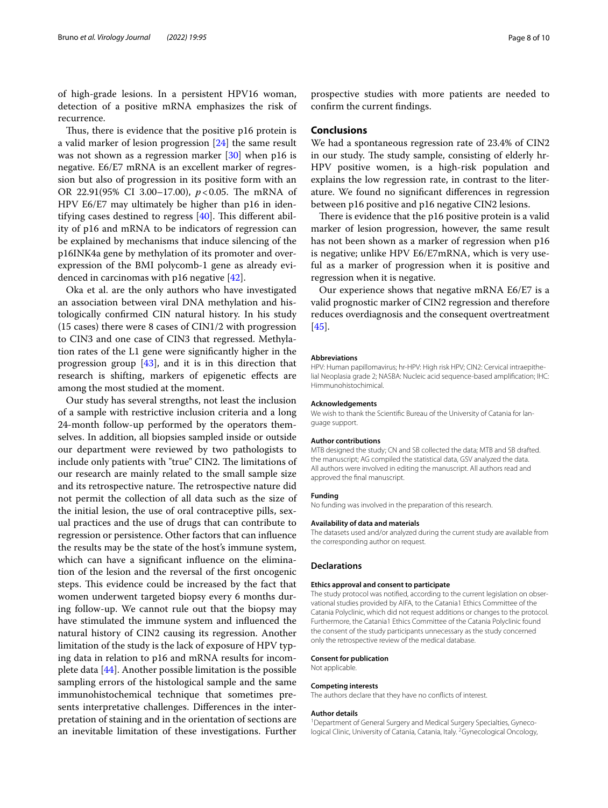of high-grade lesions. In a persistent HPV16 woman, detection of a positive mRNA emphasizes the risk of recurrence.

Thus, there is evidence that the positive p16 protein is a valid marker of lesion progression [\[24](#page-8-23)] the same result was not shown as a regression marker [[30\]](#page-8-28) when p16 is negative. E6/E7 mRNA is an excellent marker of regression but also of progression in its positive form with an OR 22.91(95% CI 3.00–17.00),  $p < 0.05$ . The mRNA of HPV E6/E7 may ultimately be higher than p16 in identifying cases destined to regress  $[40]$  $[40]$ . This different ability of p16 and mRNA to be indicators of regression can be explained by mechanisms that induce silencing of the p16INK4a gene by methylation of its promoter and overexpression of the BMI polycomb-1 gene as already evidenced in carcinomas with p16 negative [[42](#page-9-1)].

Oka et al. are the only authors who have investigated an association between viral DNA methylation and histologically confrmed CIN natural history. In his study (15 cases) there were 8 cases of CIN1/2 with progression to CIN3 and one case of CIN3 that regressed. Methylation rates of the L1 gene were signifcantly higher in the progression group [[43\]](#page-9-2), and it is in this direction that research is shifting, markers of epigenetic efects are among the most studied at the moment.

Our study has several strengths, not least the inclusion of a sample with restrictive inclusion criteria and a long 24-month follow-up performed by the operators themselves. In addition, all biopsies sampled inside or outside our department were reviewed by two pathologists to include only patients with "true" CIN2. The limitations of our research are mainly related to the small sample size and its retrospective nature. The retrospective nature did not permit the collection of all data such as the size of the initial lesion, the use of oral contraceptive pills, sexual practices and the use of drugs that can contribute to regression or persistence. Other factors that can infuence the results may be the state of the host's immune system, which can have a significant influence on the elimination of the lesion and the reversal of the frst oncogenic steps. This evidence could be increased by the fact that women underwent targeted biopsy every 6 months during follow-up. We cannot rule out that the biopsy may have stimulated the immune system and infuenced the natural history of CIN2 causing its regression. Another limitation of the study is the lack of exposure of HPV typing data in relation to p16 and mRNA results for incomplete data [[44\]](#page-9-3). Another possible limitation is the possible sampling errors of the histological sample and the same immunohistochemical technique that sometimes presents interpretative challenges. Diferences in the interpretation of staining and in the orientation of sections are an inevitable limitation of these investigations. Further prospective studies with more patients are needed to confrm the current fndings.

### **Conclusions**

We had a spontaneous regression rate of 23.4% of CIN2 in our study. The study sample, consisting of elderly hr-HPV positive women, is a high-risk population and explains the low regression rate, in contrast to the literature. We found no signifcant diferences in regression between p16 positive and p16 negative CIN2 lesions.

There is evidence that the p16 positive protein is a valid marker of lesion progression, however, the same result has not been shown as a marker of regression when p16 is negative; unlike HPV E6/E7mRNA, which is very useful as a marker of progression when it is positive and regression when it is negative.

Our experience shows that negative mRNA E6/E7 is a valid prognostic marker of CIN2 regression and therefore reduces overdiagnosis and the consequent overtreatment [[45\]](#page-9-4).

#### **Abbreviations**

HPV: Human papillomavirus; hr-HPV: High risk HPV; CIN2: Cervical intraepithelial Neoplasia grade 2; NASBA: Nucleic acid sequence-based amplifcation; IHC: Himmunohistochimical.

#### **Acknowledgements**

We wish to thank the Scientifc Bureau of the University of Catania for language support.

#### **Author contributions**

MTB designed the study; CN and SB collected the data; MTB and SB drafted. the manuscript; AG compiled the statistical data, GSV analyzed the data. All authors were involved in editing the manuscript. All authors read and approved the fnal manuscript.

#### **Funding**

No funding was involved in the preparation of this research.

#### **Availability of data and materials**

The datasets used and/or analyzed during the current study are available from the corresponding author on request.

#### **Declarations**

#### **Ethics approval and consent to participate**

The study protocol was notifed, according to the current legislation on observational studies provided by AIFA, to the Catania1 Ethics Committee of the Catania Polyclinic, which did not request additions or changes to the protocol. Furthermore, the Catania1 Ethics Committee of the Catania Polyclinic found the consent of the study participants unnecessary as the study concerned only the retrospective review of the medical database.

#### **Consent for publication**

Not applicable.

#### **Competing interests**

The authors declare that they have no conficts of interest.

#### **Author details**

<sup>1</sup> Department of General Surgery and Medical Surgery Specialties, Gynecological Clinic, University of Catania, Catania, Italy. <sup>2</sup> Gynecological Oncology,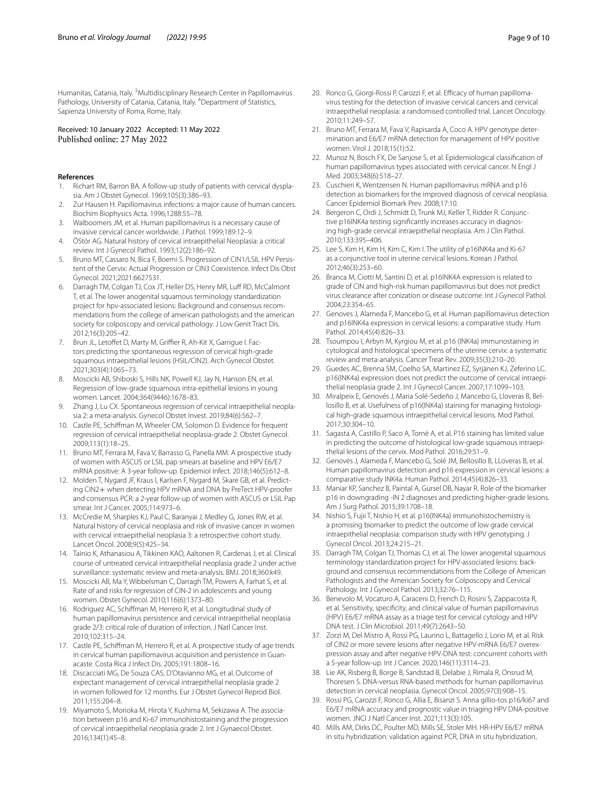Humanitas, Catania, Italy. <sup>3</sup> Multidisciplinary Research Center in Papillomavirus Pathology, University of Catania, Catania, Italy. <sup>4</sup>Department of Statistics, Sapienza University of Roma, Rome, Italy.

Received: 10 January 2022 Accepted: 11 May 2022 Published online: 27 May 2022

#### **References**

- <span id="page-8-0"></span>1. Richart RM, Barron BA. A follow-up study of patients with cervical dysplasia. Am J Obstet Gynecol. 1969;105(3):386–93.
- <span id="page-8-1"></span>2. Zur Hausen H. Papillomavirus infections: a major cause of human cancers. Biochim Biophysics Acta. 1996;1288:55–78.
- <span id="page-8-2"></span>3. Walboomers JM, et al. Human papillomavirus is a necessary cause of invasive cervical cancer worldwide. J Pathol. 1999;189:12–9.
- <span id="page-8-3"></span>4. ÖStör AG. Natural history of cervical intraepithelial Neoplasia: a critical review. Int J Gynecol Pathol. 1993;12(2):186–92.
- <span id="page-8-4"></span>5. Bruno MT, Cassaro N, Bica F, Boemi S. Progression of CIN1/LSIL HPV Persistent of the Cervix: Actual Progression or CIN3 Coexistence. Infect Dis Obst Gynecol. 2021;2021:6627531.
- <span id="page-8-5"></span>6. Darragh TM, Colgan TJ, Cox JT, Heller DS, Henry MR, Luff RD, McCalmont T, et al. The lower anogenital squamous terminology standardization project for hpv-associated lesions: Background and consensus recommendations from the college of american pathologists and the american society for colposcopy and cervical pathology. J Low Genit Tract Dis. 2012;16(3):205–42.
- <span id="page-8-6"></span>7. Brun JL, Letoffet D, Marty M, Griffier R, Ah-Kit X, Garrique I. Factors predicting the spontaneous regression of cervical high-grade squamous intraepithelial lesions (HSIL/CIN2). Arch Gynecol Obstet. 2021;303(4):1065–73.
- <span id="page-8-7"></span>8. Moscicki AB, Shiboski S, Hills NK, Powell KJ, Jay N, Hanson EN, et al. Regression of low-grade squamous intra-epithelial lesions in young women. Lancet. 2004;364(9446):1678–83.
- <span id="page-8-8"></span>9. Zhang J, Lu CX. Spontaneous regression of cervical intraepithelial neoplasia 2: a meta-analysis. Gynecol Obstet Invest. 2019;84(6):562–7.
- <span id="page-8-9"></span>10. Castle PE, Schifman M, Wheeler CM, Solomon D. Evidence for frequent regression of cervical intraepithelial neoplasia-grade 2. Obstet Gynecol. 2009;113(1):18–25.
- <span id="page-8-10"></span>11. Bruno MT, Ferrara M, Fava V, Barrasso G, Panella MM. A prospective study of women with ASCUS or LSIL pap smears at baseline and HPV E6/E7 mRNA positive: A 3-year follow-up. Epidemiol Infect. 2018;146(5):612–8.
- <span id="page-8-11"></span>12. Molden T, Nygard JF, Kraus I, Karlsen F, Nygard M, Skare GB, et al. Predicting CIN2+ when detecting HPV mRNA and DNA by PreTect HPV-proofer and consensus PCR: a 2-year follow-up of women with ASCUS or LSIL Pap smear. Int J Cancer. 2005;114:973–6.
- <span id="page-8-12"></span>13. McCredie M, Sharples KJ, Paul C, Baranyai J, Medley G, Jones RW, et al. Natural history of cervical neoplasia and risk of invasive cancer in women with cervical intraepithelial neoplasia 3: a retrospective cohort study. Lancet Oncol. 2008;9(5):425–34.
- <span id="page-8-13"></span>14. Tainio K, Athanasiou A, Tikkinen KAO, Aaltonen R, Cardenas J, et al. Clinical course of untreated cervical intraepithelial neoplasia grade 2 under active surveillance: systematic review and meta-analysis. BMJ. 2018;360:k49.
- <span id="page-8-14"></span>15. Moscicki AB, Ma Y, Wibbelsman C, Darragh TM, Powers A, Farhat S, et al. Rate of and risks for regression of CIN-2 in adolescents and young women. Obstet Gynecol. 2010;116(6):1373–80.
- <span id="page-8-15"></span>16. Rodriguez AC, Schifman M, Herrero R, et al. Longitudinal study of human papillomavirus persistence and cervical intraepithelial neoplasia grade 2/3: critical role of duration of infection. J Natl Cancer Inst. 2010;102:315–24.
- <span id="page-8-16"></span>17. Castle PE, Schifman M, Herrero R, et al. A prospective study of age trends in cervical human papillomavirus acquisition and persistence in Guanacaste. Costa Rica J Infect Dis. 2005;191:1808–16.
- <span id="page-8-17"></span>18. Discacciati MG, De Souza CAS, D'Otavianno MG, et al. Outcome of expectant management of cervical intraepithelial neoplasia grade 2 in women followed for 12 months. Eur J Obstet Gynecol Reprod Biol. 2011;155:204–8.
- <span id="page-8-18"></span>19. Miyamoto S, Morioka M, Hirota Y, Kushima M, Sekizawa A. The association between p16 and Ki-67 immunohistostaining and the progression of cervical intraepithelial neoplasia grade 2. Int J Gynaecol Obstet. 2016;134(1):45–8.
- <span id="page-8-19"></span>20. Ronco G, Giorgi-Rossi P, Carozzi F, et al. Efficacy of human papillomavirus testing for the detection of invasive cervical cancers and cervical intraepithelial neoplasia: a randomised controlled trial. Lancet Oncology. 2010;11:249–57.
- <span id="page-8-20"></span>21. Bruno MT, Ferrara M, Fava V, Rapisarda A, Coco A. HPV genotype determination and E6/E7 mRNA detection for management of HPV positive women. Virol J. 2018;15(1):52.
- <span id="page-8-21"></span>22. Munoz N, Bosch FX, De Sanjose S, et al. Epidemiological classifcation of human papillomavirus types associated with cervical cancer. N Engl J Med. 2003;348(6):518–27.
- <span id="page-8-22"></span>23. Cuschieri K, Wentzensen N. Human papillomavirus mRNA and p16 detection as biomarkers for the improved diagnosis of cervical neoplasia. Cancer Epidemiol Biomark Prev. 2008;17:10.
- <span id="page-8-23"></span>24. Bergeron C, Ordi J, Schmidt D, Trunk MJ, Keller T, Ridder R. Conjunctive p16INK4a testing signifcantly increases accuracy in diagnosing high-grade cervical intraepithelial neoplasia. Am J Clin Pathol. 2010;133:395–406.
- <span id="page-8-24"></span>25. Lee S, Kim H, Kim H, Kim C, Kim I. The utility of p16INK4a and Ki-67 as a conjunctive tool in uterine cervical lesions. Korean J Pathol. 2012;46(3):253–60.
- <span id="page-8-25"></span>26. Branca M, Ciotti M, Santini D, et al. p16INK4A expression is related to grade of CIN and high-risk human papillomavirus but does not predict virus clearance after conization or disease outcome. Int J Gynecol Pathol. 2004;23:354–65.
- <span id="page-8-26"></span>27. Genoves J, Alameda F, Mancebo G, et al. Human papillomavirus detection and p16INK4a expression in cervical lesions: a comparative study. Hum Pathol. 2014;45(4):826–33.
- 28. Tsoumpou I, Arbyn M, Kyrgiou M, et al. p16 (INK4a) immunostaining in cytological and histological specimens of the uterine cervix: a systematic review and meta-analysis. Cancer Treat Rev. 2009;35(3):210–20.
- <span id="page-8-27"></span>29. Guedes AC, Brenna SM, Coelho SA, Martinez EZ, Syrjänen KJ, Zeferino LC. p16(INK4a) expression does not predict the outcome of cervical intraepithelial neoplasia grade 2. Int J Gynecol Cancer. 2007;17:1099–103.
- <span id="page-8-28"></span>30. Miralpeix E, Genovés J, Maria Solé-Sedeño J, Mancebo G, Lloveras B, Bellosillo B, et al. Usefulness of p16(INK4a) staining for managing histological high-grade squamous intraepithelial cervical lesions. Mod Pathol. 2017;30:304–10.
- <span id="page-8-29"></span>31. Sagasta A, Castillo P, Saco A, Tornè A, et al. P16 staining has limited value in predicting the outcome of histological low-grade squamous intraepithelial lesions of the cervix. Mod Pathol. 2016;29:51–9.
- <span id="page-8-30"></span>32. Genovés J, Alameda F, Mancebo G, Solé JM, Bellosillo B, LLoveras B, et al. Human papillomavirus detection and p16 expression in cervical lesions: a comparative study INK4a. Human Pathol. 2014;45(4):826–33.
- <span id="page-8-31"></span>33. Maniar KP, Sanchez B, Paintal A, Gursel DB, Nayar R. Role of the biomarker p16 in downgrading -IN 2 diagnoses and predicting higher-grade lesions. Am J Surg Pathol. 2015;39:1708–18.
- <span id="page-8-32"></span>34. Nishio S, Fujii T, Nishio H, et al. p16(INK4a) immunohistochemistry is a promising biomarker to predict the outcome of low grade cervical intraepithelial neoplasia: comparison study with HPV genotyping. J Gynecol Oncol. 2013;24:215–21.
- <span id="page-8-33"></span>35. Darragh TM, Colgan TJ, Thomas CJ, et al. The lower anogenital squamous terminology standardization project for HPV-associated lesions: background and consensus recommendations from the College of American Pathologists and the American Society for Colposcopy and Cervical Pathology. Int J Gynecol Pathol. 2013;32:76-115.
- <span id="page-8-34"></span>36. Benevolo M, Vocaturo A, Caraceni D, French D, Rosini S, Zappacosta R, et al. Sensitivity, specifcity, and clinical value of human papillomavirus (HPV) E6/E7 mRNA assay as a triage test for cervical cytology and HPV DNA test. J Clin Microbiol. 2011;49(7):2643–50.
- <span id="page-8-35"></span>37. Zorzi M, Del Mistro A, Rossi PG, Laurino L, Battagello J, Lorio M, et al. Risk of CIN2 or more severe lesions after negative HPV-mRNA E6/E7 overexpression assay and after negative HPV-DNA test: concurrent cohorts with a 5-year follow-up. Int J Cancer. 2020;146(11):3114–23.
- <span id="page-8-36"></span>38. Lie AK, Risberg B, Borge B, Sandstad B, Delabie J, Rimala R, Onsrud M, Thoresen S. DNA-versus RNA-based methods for human papillomavirus detection in cervical neoplasia. Gynecol Oncol. 2005;97(3):908–15.
- <span id="page-8-37"></span>39. Rossi PG, Carozzi F, Ronco G, Allia E, Bisanzi S. Anna gillio-tos p16/ki67 and E6/E7 mRNA accuracy and prognostic value in triaging HPV DNA-positive women. JNCI J Natl Cancer Inst. 2021;113(3):105.
- <span id="page-8-38"></span>40. Mills AM, Dirks DC, Poulter MD, Mills SE, Stoler MH. HR-HPV E6/E7 mRNA in situ hybridization: validation against PCR, DNA in situ hybridization,